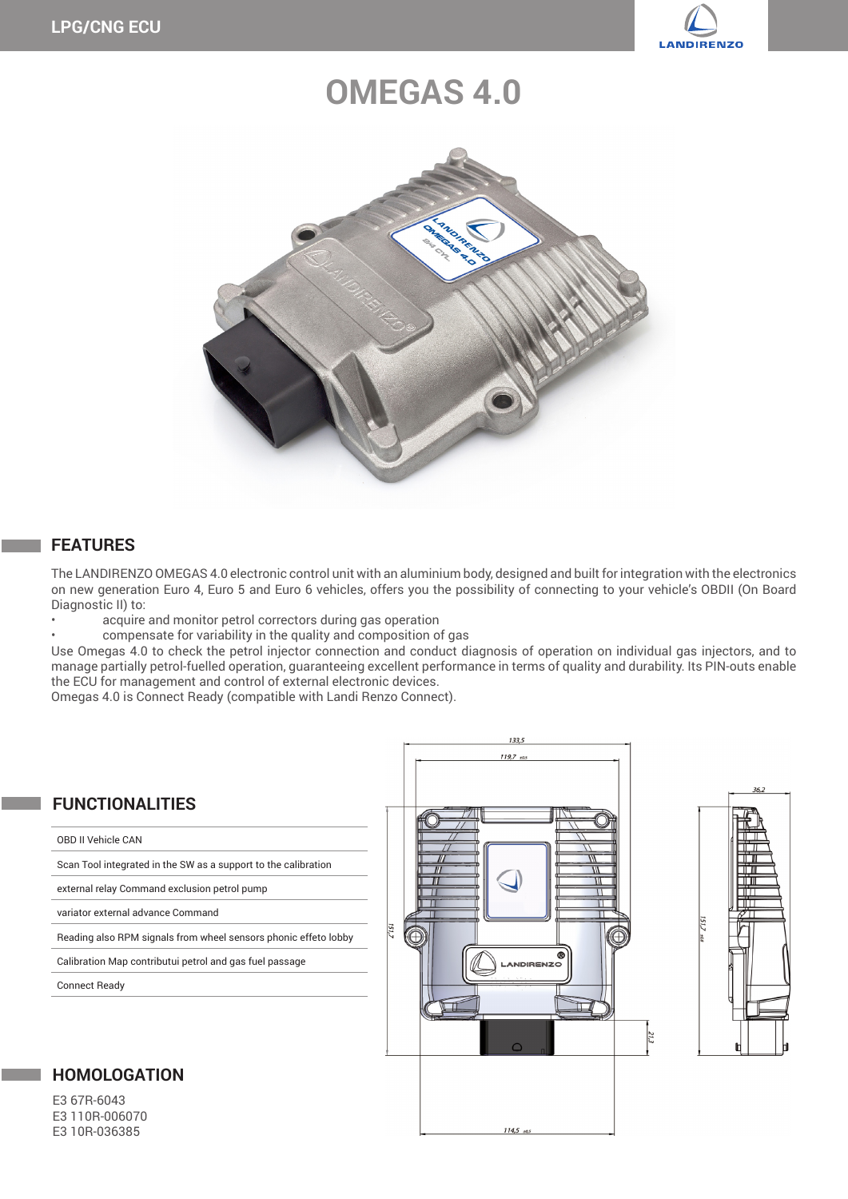

# **OMEGAS 4.0**



### **FEATURES**

The LANDIRENZO OMEGAS 4.0 electronic control unit with an aluminium body, designed and built for integration with the electronics on new generation Euro 4, Euro 5 and Euro 6 vehicles, offers you the possibility of connecting to your vehicle's OBDII (On Board Diagnostic II) to:

acquire and monitor petrol correctors during gas operation

compensate for variability in the quality and composition of gas

Use Omegas 4.0 to check the petrol injector connection and conduct diagnosis of operation on individual gas injectors, and to manage partially petrol-fuelled operation, guaranteeing excellent performance in terms of quality and durability. Its PIN-outs enable the ECU for management and control of external electronic devices.

Omegas 4.0 is Connect Ready (compatible with Landi Renzo Connect).